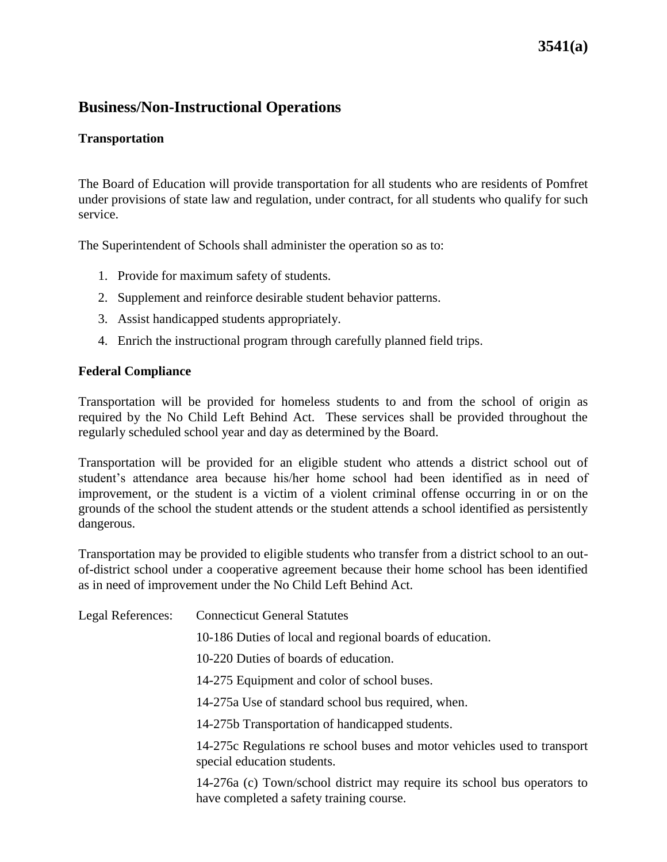## **3541(a)**

### **Business/Non-Instructional Operations**

### **Transportation**

The Board of Education will provide transportation for all students who are residents of Pomfret under provisions of state law and regulation, under contract, for all students who qualify for such service.

The Superintendent of Schools shall administer the operation so as to:

- 1. Provide for maximum safety of students.
- 2. Supplement and reinforce desirable student behavior patterns.
- 3. Assist handicapped students appropriately.
- 4. Enrich the instructional program through carefully planned field trips.

#### **Federal Compliance**

Transportation will be provided for homeless students to and from the school of origin as required by the No Child Left Behind Act. These services shall be provided throughout the regularly scheduled school year and day as determined by the Board.

Transportation will be provided for an eligible student who attends a district school out of student's attendance area because his/her home school had been identified as in need of improvement, or the student is a victim of a violent criminal offense occurring in or on the grounds of the school the student attends or the student attends a school identified as persistently dangerous.

Transportation may be provided to eligible students who transfer from a district school to an outof-district school under a cooperative agreement because their home school has been identified as in need of improvement under the No Child Left Behind Act.

| Legal References: | <b>Connecticut General Statutes</b>                                                                                  |
|-------------------|----------------------------------------------------------------------------------------------------------------------|
|                   | 10-186 Duties of local and regional boards of education.                                                             |
|                   | 10-220 Duties of boards of education.                                                                                |
|                   | 14-275 Equipment and color of school buses.                                                                          |
|                   | 14-275a Use of standard school bus required, when.                                                                   |
|                   | 14-275b Transportation of handicapped students.                                                                      |
|                   | 14-275c Regulations re school buses and motor vehicles used to transport<br>special education students.              |
|                   | 14-276a (c) Town/school district may require its school bus operators to<br>have completed a safety training course. |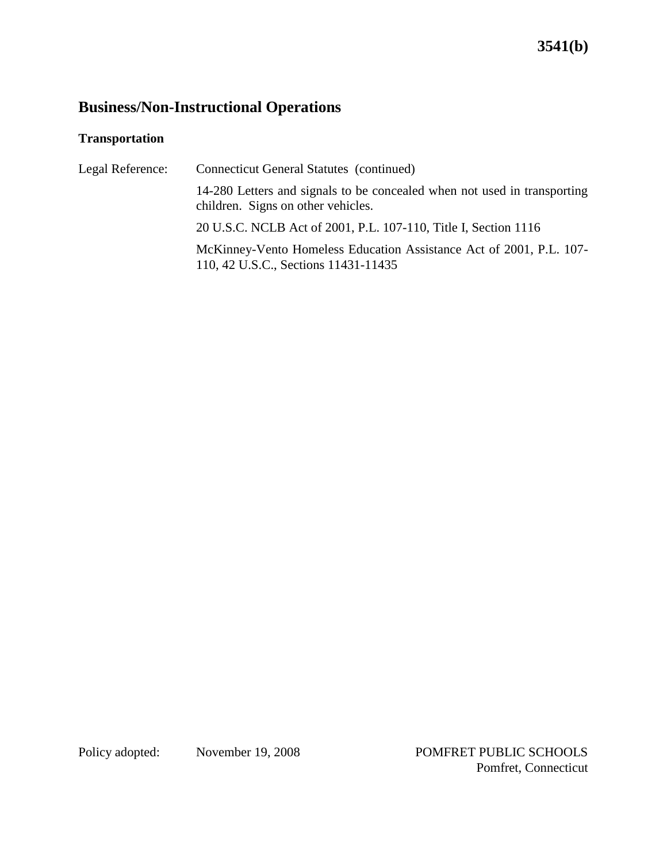### **Transportation**

| Legal Reference: | Connecticut General Statutes (continued)                                                                       |
|------------------|----------------------------------------------------------------------------------------------------------------|
|                  | 14-280 Letters and signals to be concealed when not used in transporting<br>children. Signs on other vehicles. |
|                  | 20 U.S.C. NCLB Act of 2001, P.L. 107-110, Title I, Section 1116                                                |
|                  | McKinney-Vento Homeless Education Assistance Act of 2001, P.L. 107-<br>110, 42 U.S.C., Sections 11431-11435    |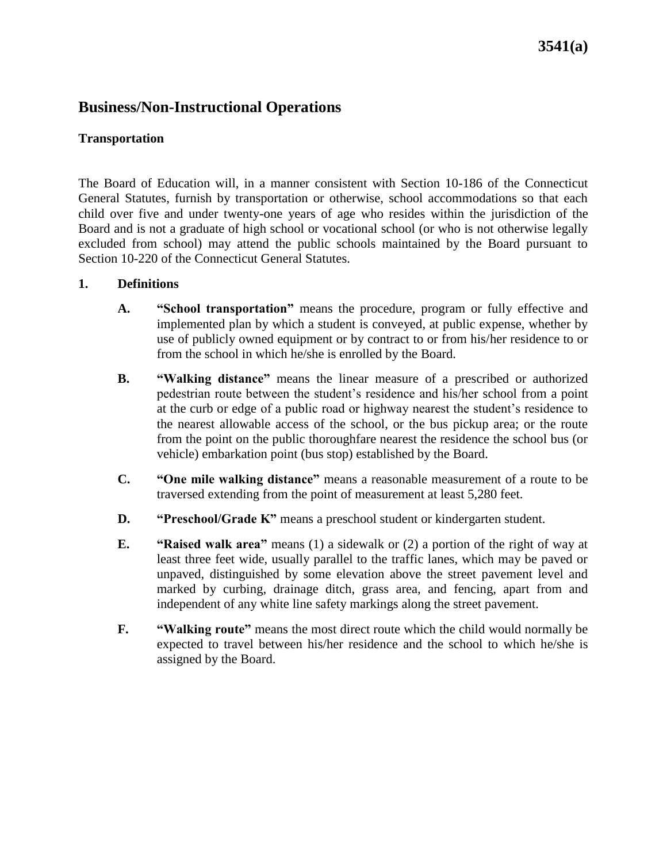### **Transportation**

The Board of Education will, in a manner consistent with Section 10-186 of the Connecticut General Statutes, furnish by transportation or otherwise, school accommodations so that each child over five and under twenty-one years of age who resides within the jurisdiction of the Board and is not a graduate of high school or vocational school (or who is not otherwise legally excluded from school) may attend the public schools maintained by the Board pursuant to Section 10-220 of the Connecticut General Statutes.

### **1. Definitions**

- **A. "School transportation"** means the procedure, program or fully effective and implemented plan by which a student is conveyed, at public expense, whether by use of publicly owned equipment or by contract to or from his/her residence to or from the school in which he/she is enrolled by the Board.
- **B. "Walking distance"** means the linear measure of a prescribed or authorized pedestrian route between the student's residence and his/her school from a point at the curb or edge of a public road or highway nearest the student's residence to the nearest allowable access of the school, or the bus pickup area; or the route from the point on the public thoroughfare nearest the residence the school bus (or vehicle) embarkation point (bus stop) established by the Board.
- **C. "One mile walking distance"** means a reasonable measurement of a route to be traversed extending from the point of measurement at least 5,280 feet.
- **D. "Preschool/Grade K"** means a preschool student or kindergarten student.
- **E. "Raised walk area"** means (1) a sidewalk or (2) a portion of the right of way at least three feet wide, usually parallel to the traffic lanes, which may be paved or unpaved, distinguished by some elevation above the street pavement level and marked by curbing, drainage ditch, grass area, and fencing, apart from and independent of any white line safety markings along the street pavement.
- **F. "Walking route"** means the most direct route which the child would normally be expected to travel between his/her residence and the school to which he/she is assigned by the Board.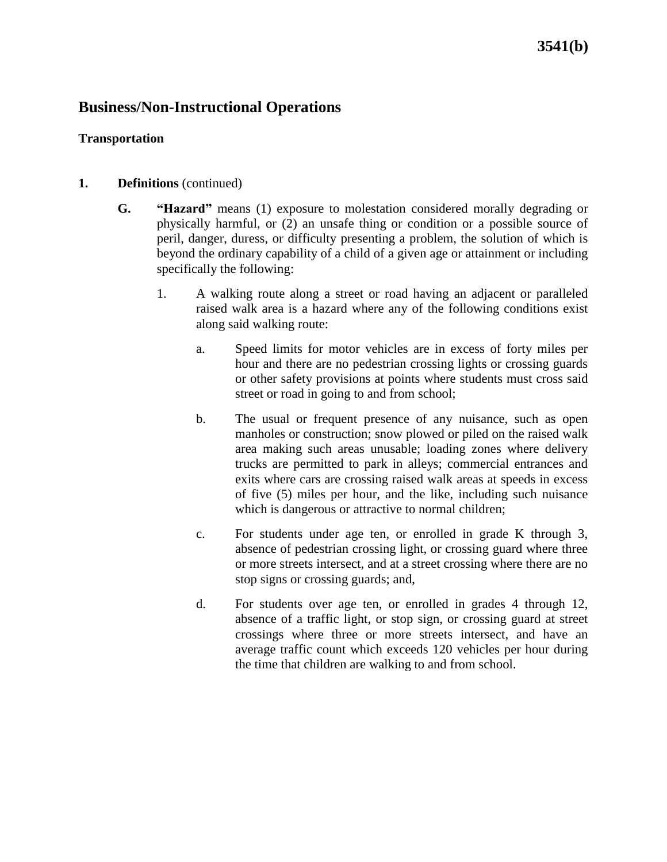## **3541(b)**

### **Business/Non-Instructional Operations**

### **Transportation**

### **1. Definitions** (continued)

- **G. "Hazard"** means (1) exposure to molestation considered morally degrading or physically harmful, or (2) an unsafe thing or condition or a possible source of peril, danger, duress, or difficulty presenting a problem, the solution of which is beyond the ordinary capability of a child of a given age or attainment or including specifically the following:
	- 1. A walking route along a street or road having an adjacent or paralleled raised walk area is a hazard where any of the following conditions exist along said walking route:
		- a. Speed limits for motor vehicles are in excess of forty miles per hour and there are no pedestrian crossing lights or crossing guards or other safety provisions at points where students must cross said street or road in going to and from school;
		- b. The usual or frequent presence of any nuisance, such as open manholes or construction; snow plowed or piled on the raised walk area making such areas unusable; loading zones where delivery trucks are permitted to park in alleys; commercial entrances and exits where cars are crossing raised walk areas at speeds in excess of five (5) miles per hour, and the like, including such nuisance which is dangerous or attractive to normal children;
		- c. For students under age ten, or enrolled in grade K through 3, absence of pedestrian crossing light, or crossing guard where three or more streets intersect, and at a street crossing where there are no stop signs or crossing guards; and,
		- d. For students over age ten, or enrolled in grades 4 through 12, absence of a traffic light, or stop sign, or crossing guard at street crossings where three or more streets intersect, and have an average traffic count which exceeds 120 vehicles per hour during the time that children are walking to and from school.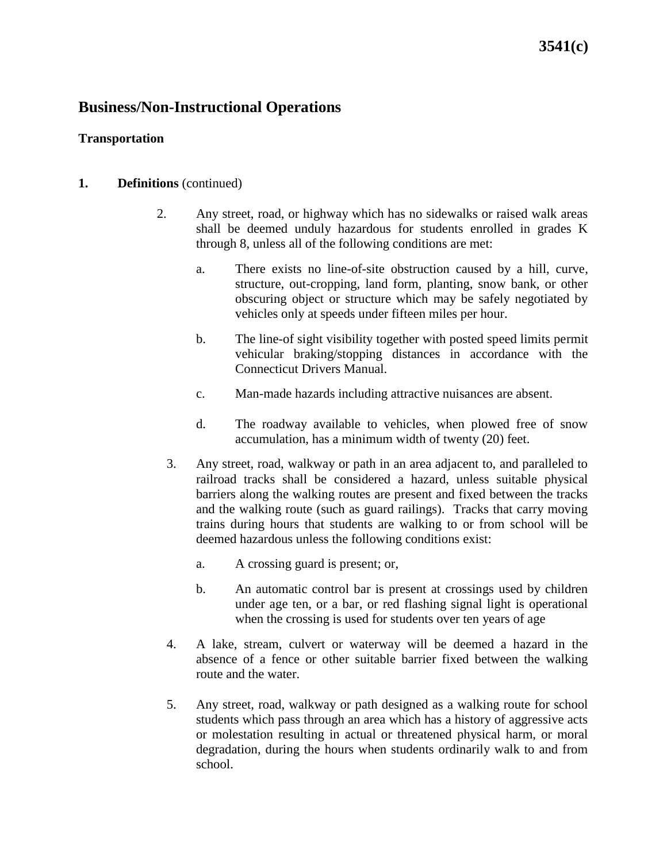## **3541(c)**

### **Business/Non-Instructional Operations**

### **Transportation**

#### **1. Definitions** (continued)

- 2. Any street, road, or highway which has no sidewalks or raised walk areas shall be deemed unduly hazardous for students enrolled in grades K through 8, unless all of the following conditions are met:
	- a. There exists no line-of-site obstruction caused by a hill, curve, structure, out-cropping, land form, planting, snow bank, or other obscuring object or structure which may be safely negotiated by vehicles only at speeds under fifteen miles per hour.
	- b. The line-of sight visibility together with posted speed limits permit vehicular braking/stopping distances in accordance with the Connecticut Drivers Manual.
	- c. Man-made hazards including attractive nuisances are absent.
	- d. The roadway available to vehicles, when plowed free of snow accumulation, has a minimum width of twenty (20) feet.
	- 3. Any street, road, walkway or path in an area adjacent to, and paralleled to railroad tracks shall be considered a hazard, unless suitable physical barriers along the walking routes are present and fixed between the tracks and the walking route (such as guard railings). Tracks that carry moving trains during hours that students are walking to or from school will be deemed hazardous unless the following conditions exist:
		- a. A crossing guard is present; or,
		- b. An automatic control bar is present at crossings used by children under age ten, or a bar, or red flashing signal light is operational when the crossing is used for students over ten years of age
	- 4. A lake, stream, culvert or waterway will be deemed a hazard in the absence of a fence or other suitable barrier fixed between the walking route and the water.
	- 5. Any street, road, walkway or path designed as a walking route for school students which pass through an area which has a history of aggressive acts or molestation resulting in actual or threatened physical harm, or moral degradation, during the hours when students ordinarily walk to and from school.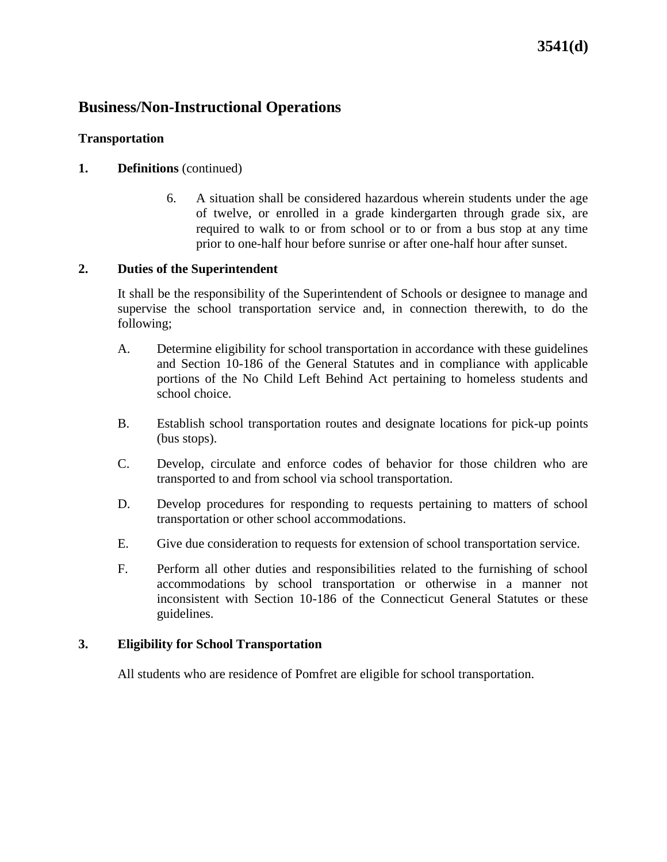## **3541(d)**

## **Business/Non-Instructional Operations**

### **Transportation**

### **1. Definitions** (continued)

6. A situation shall be considered hazardous wherein students under the age of twelve, or enrolled in a grade kindergarten through grade six, are required to walk to or from school or to or from a bus stop at any time prior to one-half hour before sunrise or after one-half hour after sunset.

#### **2. Duties of the Superintendent**

It shall be the responsibility of the Superintendent of Schools or designee to manage and supervise the school transportation service and, in connection therewith, to do the following;

- A. Determine eligibility for school transportation in accordance with these guidelines and Section 10-186 of the General Statutes and in compliance with applicable portions of the No Child Left Behind Act pertaining to homeless students and school choice.
- B. Establish school transportation routes and designate locations for pick-up points (bus stops).
- C. Develop, circulate and enforce codes of behavior for those children who are transported to and from school via school transportation.
- D. Develop procedures for responding to requests pertaining to matters of school transportation or other school accommodations.
- E. Give due consideration to requests for extension of school transportation service.
- F. Perform all other duties and responsibilities related to the furnishing of school accommodations by school transportation or otherwise in a manner not inconsistent with Section 10-186 of the Connecticut General Statutes or these guidelines.

#### **3. Eligibility for School Transportation**

All students who are residence of Pomfret are eligible for school transportation.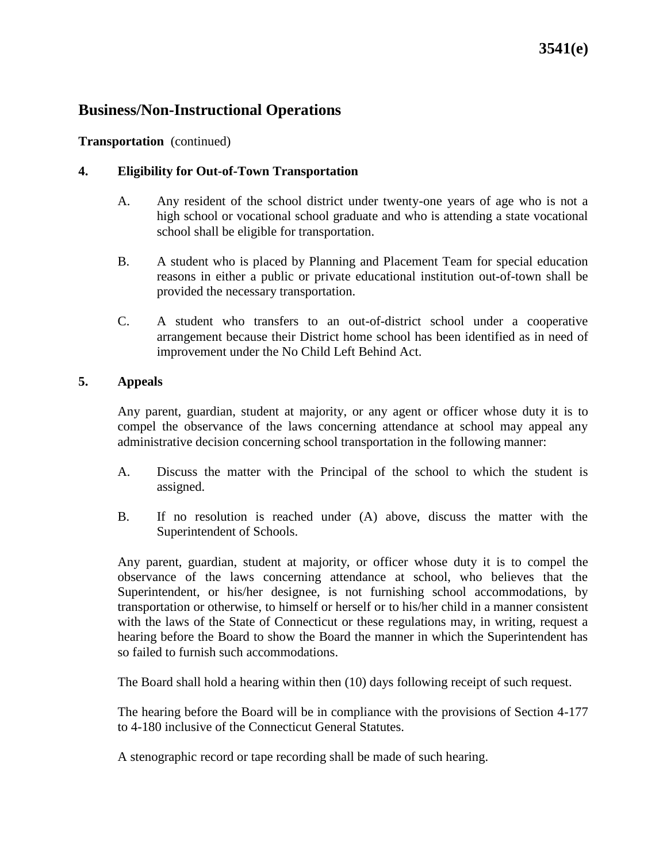## **3541(e)**

### **Business/Non-Instructional Operations**

**Transportation** (continued)

### **4. Eligibility for Out-of-Town Transportation**

- A. Any resident of the school district under twenty-one years of age who is not a high school or vocational school graduate and who is attending a state vocational school shall be eligible for transportation.
- B. A student who is placed by Planning and Placement Team for special education reasons in either a public or private educational institution out-of-town shall be provided the necessary transportation.
- C. A student who transfers to an out-of-district school under a cooperative arrangement because their District home school has been identified as in need of improvement under the No Child Left Behind Act.

#### **5. Appeals**

Any parent, guardian, student at majority, or any agent or officer whose duty it is to compel the observance of the laws concerning attendance at school may appeal any administrative decision concerning school transportation in the following manner:

- A. Discuss the matter with the Principal of the school to which the student is assigned.
- B. If no resolution is reached under (A) above, discuss the matter with the Superintendent of Schools.

Any parent, guardian, student at majority, or officer whose duty it is to compel the observance of the laws concerning attendance at school, who believes that the Superintendent, or his/her designee, is not furnishing school accommodations, by transportation or otherwise, to himself or herself or to his/her child in a manner consistent with the laws of the State of Connecticut or these regulations may, in writing, request a hearing before the Board to show the Board the manner in which the Superintendent has so failed to furnish such accommodations.

The Board shall hold a hearing within then (10) days following receipt of such request.

The hearing before the Board will be in compliance with the provisions of Section 4-177 to 4-180 inclusive of the Connecticut General Statutes.

A stenographic record or tape recording shall be made of such hearing.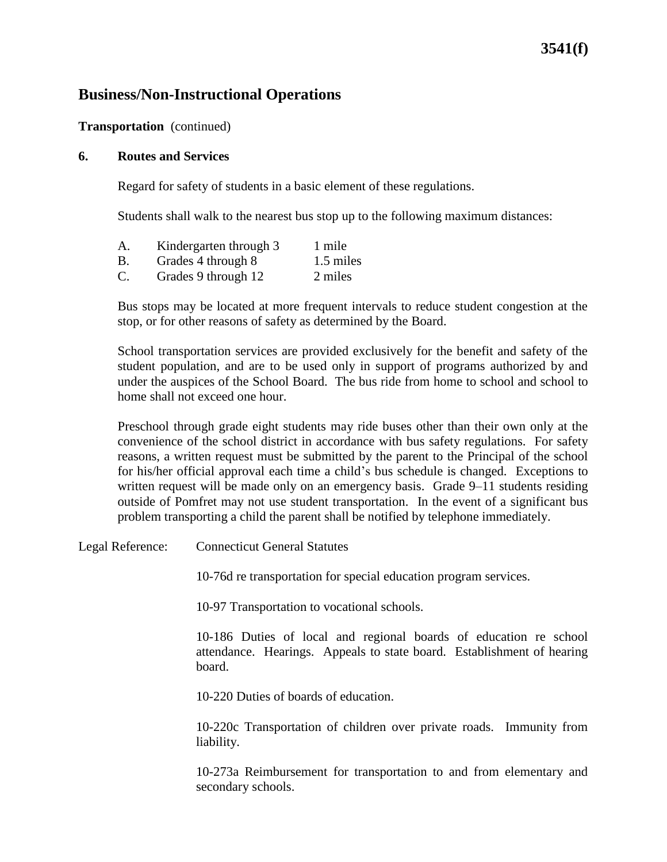### **Transportation** (continued)

#### **6. Routes and Services**

Regard for safety of students in a basic element of these regulations.

stop, or for other reasons of safety as determined by the Board.

Students shall walk to the nearest bus stop up to the following maximum distances:

| Α.             | Kindergarten through 3 | 1 mile    |
|----------------|------------------------|-----------|
| Β.             | Grades 4 through 8     | 1.5 miles |
| $\mathbf{C}$ . | Grades 9 through 12    | 2 miles   |

Bus stops may be located at more frequent intervals to reduce student congestion at the

School transportation services are provided exclusively for the benefit and safety of the student population, and are to be used only in support of programs authorized by and under the auspices of the School Board. The bus ride from home to school and school to home shall not exceed one hour.

Preschool through grade eight students may ride buses other than their own only at the convenience of the school district in accordance with bus safety regulations. For safety reasons, a written request must be submitted by the parent to the Principal of the school for his/her official approval each time a child's bus schedule is changed. Exceptions to written request will be made only on an emergency basis. Grade 9–11 students residing outside of Pomfret may not use student transportation. In the event of a significant bus problem transporting a child the parent shall be notified by telephone immediately.

Legal Reference: Connecticut General Statutes

10-76d re transportation for special education program services.

10-97 Transportation to vocational schools.

10-186 Duties of local and regional boards of education re school attendance. Hearings. Appeals to state board. Establishment of hearing board.

10-220 Duties of boards of education.

10-220c Transportation of children over private roads. Immunity from liability.

10-273a Reimbursement for transportation to and from elementary and secondary schools.